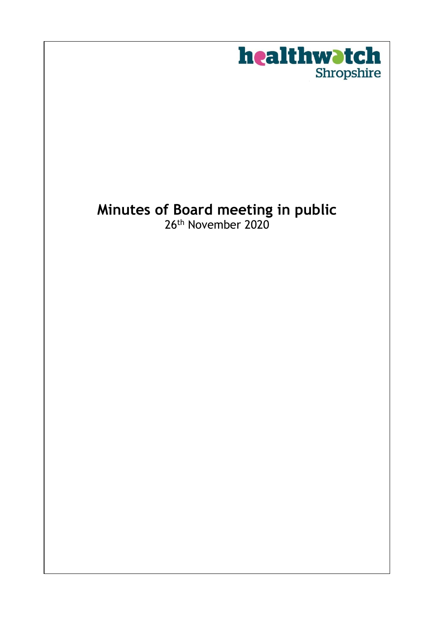

# **Minutes of Board meeting in public** 26th November 2020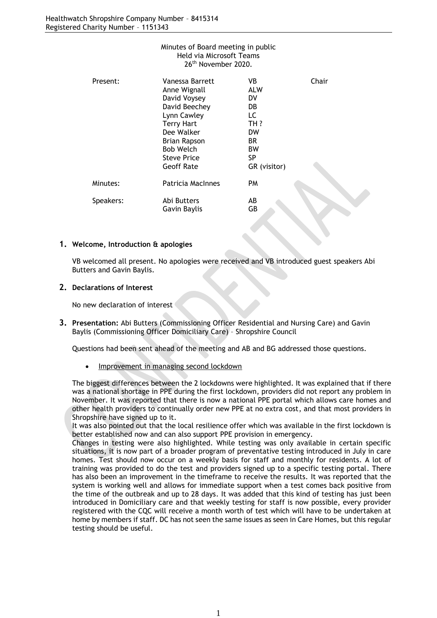| Minutes of Board meeting in public<br>Held via Microsoft Teams |                     |              |       |
|----------------------------------------------------------------|---------------------|--------------|-------|
|                                                                | 26th November 2020. |              |       |
| Present:                                                       | Vanessa Barrett     | VB.          | Chair |
|                                                                | Anne Wignall        | <b>ALW</b>   |       |
|                                                                | David Voysey        | DV.          |       |
|                                                                | David Beechey       | DB.          |       |
|                                                                | Lynn Cawley         | LC.          |       |
|                                                                | <b>Terry Hart</b>   | TH ?         |       |
|                                                                | Dee Walker          | <b>DW</b>    |       |
|                                                                | <b>Brian Rapson</b> | BR.          |       |
|                                                                | <b>Bob Welch</b>    | ВW           |       |
|                                                                | <b>Steve Price</b>  | SP.          |       |
|                                                                | <b>Geoff Rate</b>   | GR (visitor) |       |
| Minutes:                                                       | Patricia MacInnes   | PM           |       |
| Speakers:                                                      | Abi Butters         | AB           |       |
|                                                                | Gavin Baylis        | GВ           |       |
|                                                                |                     |              |       |

#### **1. Welcome, Introduction & apologies**

VB welcomed all present. No apologies were received and VB introduced guest speakers Abi Butters and Gavin Baylis.

#### **2. Declarations of Interest**

No new declaration of interest

**3. Presentation:** Abi Butters (Commissioning Officer Residential and Nursing Care) and Gavin Baylis (Commissioning Officer Domiciliary Care) – Shropshire Council

Questions had been sent ahead of the meeting and AB and BG addressed those questions.

• Improvement in managing second lockdown

The biggest differences between the 2 lockdowns were highlighted. It was explained that if there was a national shortage in PPE during the first lockdown, providers did not report any problem in November. It was reported that there is now a national PPE portal which allows care homes and other health providers to continually order new PPE at no extra cost, and that most providers in Shropshire have signed up to it.

It was also pointed out that the local resilience offer which was available in the first lockdown is better established now and can also support PPE provision in emergency.

Changes in testing were also highlighted. While testing was only available in certain specific situations, it is now part of a broader program of preventative testing introduced in July in care homes. Test should now occur on a weekly basis for staff and monthly for residents. A lot of training was provided to do the test and providers signed up to a specific testing portal. There has also been an improvement in the timeframe to receive the results. It was reported that the system is working well and allows for immediate support when a test comes back positive from the time of the outbreak and up to 28 days. It was added that this kind of testing has just been introduced in Domiciliary care and that weekly testing for staff is now possible, every provider registered with the CQC will receive a month worth of test which will have to be undertaken at home by members if staff. DC has not seen the same issues as seen in Care Homes, but this regular testing should be useful.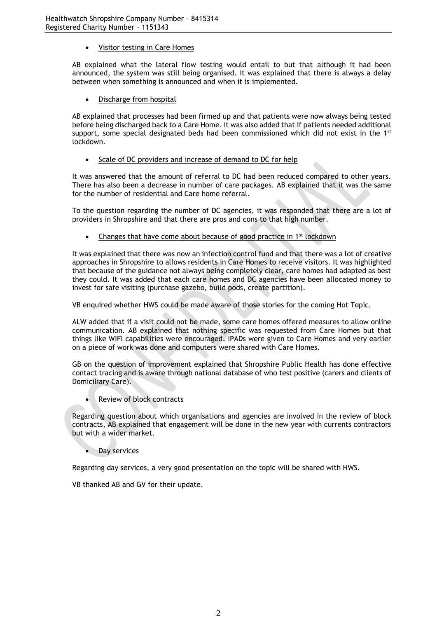• Visitor testing in Care Homes

AB explained what the lateral flow testing would entail to but that although it had been announced, the system was still being organised. It was explained that there is always a delay between when something is announced and when it is implemented.

• Discharge from hospital

AB explained that processes had been firmed up and that patients were now always being tested before being discharged back to a Care Home. It was also added that if patients needed additional support, some special designated beds had been commissioned which did not exist in the  $1^{st}$ lockdown.

• Scale of DC providers and increase of demand to DC for help

It was answered that the amount of referral to DC had been reduced compared to other years. There has also been a decrease in number of care packages. AB explained that it was the same for the number of residential and Care home referral.

To the question regarding the number of DC agencies, it was responded that there are a lot of providers in Shropshire and that there are pros and cons to that high number.

Changes that have come about because of good practice in 1<sup>st</sup> lockdown

It was explained that there was now an infection control fund and that there was a lot of creative approaches in Shropshire to allows residents in Care Homes to receive visitors. It was highlighted that because of the guidance not always being completely clear, care homes had adapted as best they could. It was added that each care homes and DC agencies have been allocated money to invest for safe visiting (purchase gazebo, build pods, create partition).

VB enquired whether HWS could be made aware of those stories for the coming Hot Topic.

ALW added that if a visit could not be made, some care homes offered measures to allow online communication. AB explained that nothing specific was requested from Care Homes but that things like WIFI capabilities were encouraged. IPADs were given to Care Homes and very earlier on a piece of work was done and computers were shared with Care Homes.

GB on the question of improvement explained that Shropshire Public Health has done effective contact tracing and is aware through national database of who test positive (carers and clients of Domiciliary Care).

• Review of block contracts

Regarding question about which organisations and agencies are involved in the review of block contracts, AB explained that engagement will be done in the new year with currents contractors but with a wider market.

Day services

Regarding day services, a very good presentation on the topic will be shared with HWS.

VB thanked AB and GV for their update.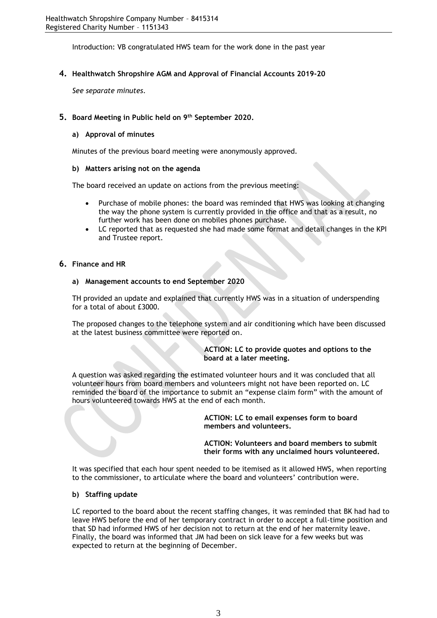Introduction: VB congratulated HWS team for the work done in the past year

# **4. Healthwatch Shropshire AGM and Approval of Financial Accounts 2019-20**

*See separate minutes.*

# **5. Board Meeting in Public held on 9th September 2020.**

# **a) Approval of minutes**

Minutes of the previous board meeting were anonymously approved.

#### **b) Matters arising not on the agenda**

The board received an update on actions from the previous meeting:

- Purchase of mobile phones: the board was reminded that HWS was looking at changing the way the phone system is currently provided in the office and that as a result, no further work has been done on mobiles phones purchase.
- LC reported that as requested she had made some format and detail changes in the KPI and Trustee report.

#### **6. Finance and HR**

#### **a) Management accounts to end September 2020**

TH provided an update and explained that currently HWS was in a situation of underspending for a total of about £3000.

The proposed changes to the telephone system and air conditioning which have been discussed at the latest business committee were reported on.

#### **ACTION: LC to provide quotes and options to the board at a later meeting.**

A question was asked regarding the estimated volunteer hours and it was concluded that all volunteer hours from board members and volunteers might not have been reported on. LC reminded the board of the importance to submit an "expense claim form" with the amount of hours volunteered towards HWS at the end of each month.

> **ACTION: LC to email expenses form to board members and volunteers.**

**ACTION: Volunteers and board members to submit their forms with any unclaimed hours volunteered.**

It was specified that each hour spent needed to be itemised as it allowed HWS, when reporting to the commissioner, to articulate where the board and volunteers' contribution were.

#### **b) Staffing update**

LC reported to the board about the recent staffing changes, it was reminded that BK had had to leave HWS before the end of her temporary contract in order to accept a full-time position and that SD had informed HWS of her decision not to return at the end of her maternity leave. Finally, the board was informed that JM had been on sick leave for a few weeks but was expected to return at the beginning of December.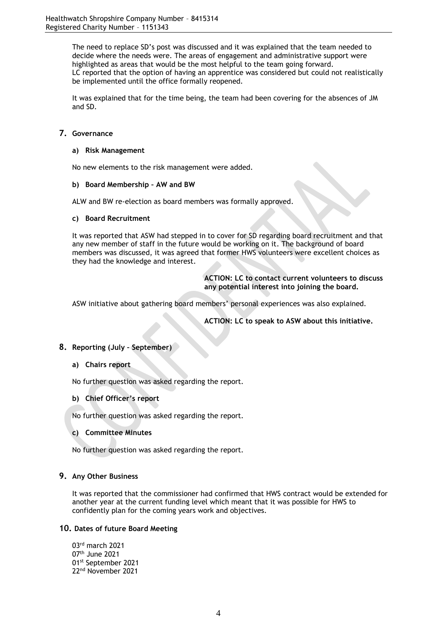The need to replace SD's post was discussed and it was explained that the team needed to decide where the needs were. The areas of engagement and administrative support were highlighted as areas that would be the most helpful to the team going forward. LC reported that the option of having an apprentice was considered but could not realistically be implemented until the office formally reopened.

It was explained that for the time being, the team had been covering for the absences of JM and SD.

# **7. Governance**

#### **a) Risk Management**

No new elements to the risk management were added.

#### **b) Board Membership – AW and BW**

ALW and BW re-election as board members was formally approved.

#### **c) Board Recruitment**

It was reported that ASW had stepped in to cover for SD regarding board recruitment and that any new member of staff in the future would be working on it. The background of board members was discussed, it was agreed that former HWS volunteers were excellent choices as they had the knowledge and interest.

> **ACTION: LC to contact current volunteers to discuss any potential interest into joining the board.**

ASW initiative about gathering board members' personal experiences was also explained.

**ACTION: LC to speak to ASW about this initiative.**

# **8. Reporting (July – September)**

#### **a) Chairs report**

No further question was asked regarding the report.

# **b) Chief Officer's report**

No further question was asked regarding the report.

# **c) Committee Minutes**

No further question was asked regarding the report.

# **9. Any Other Business**

It was reported that the commissioner had confirmed that HWS contract would be extended for another year at the current funding level which meant that it was possible for HWS to confidently plan for the coming years work and objectives.

#### **10. Dates of future Board Meeting**

rd march 2021 th June 2021 st September 2021 nd November 2021